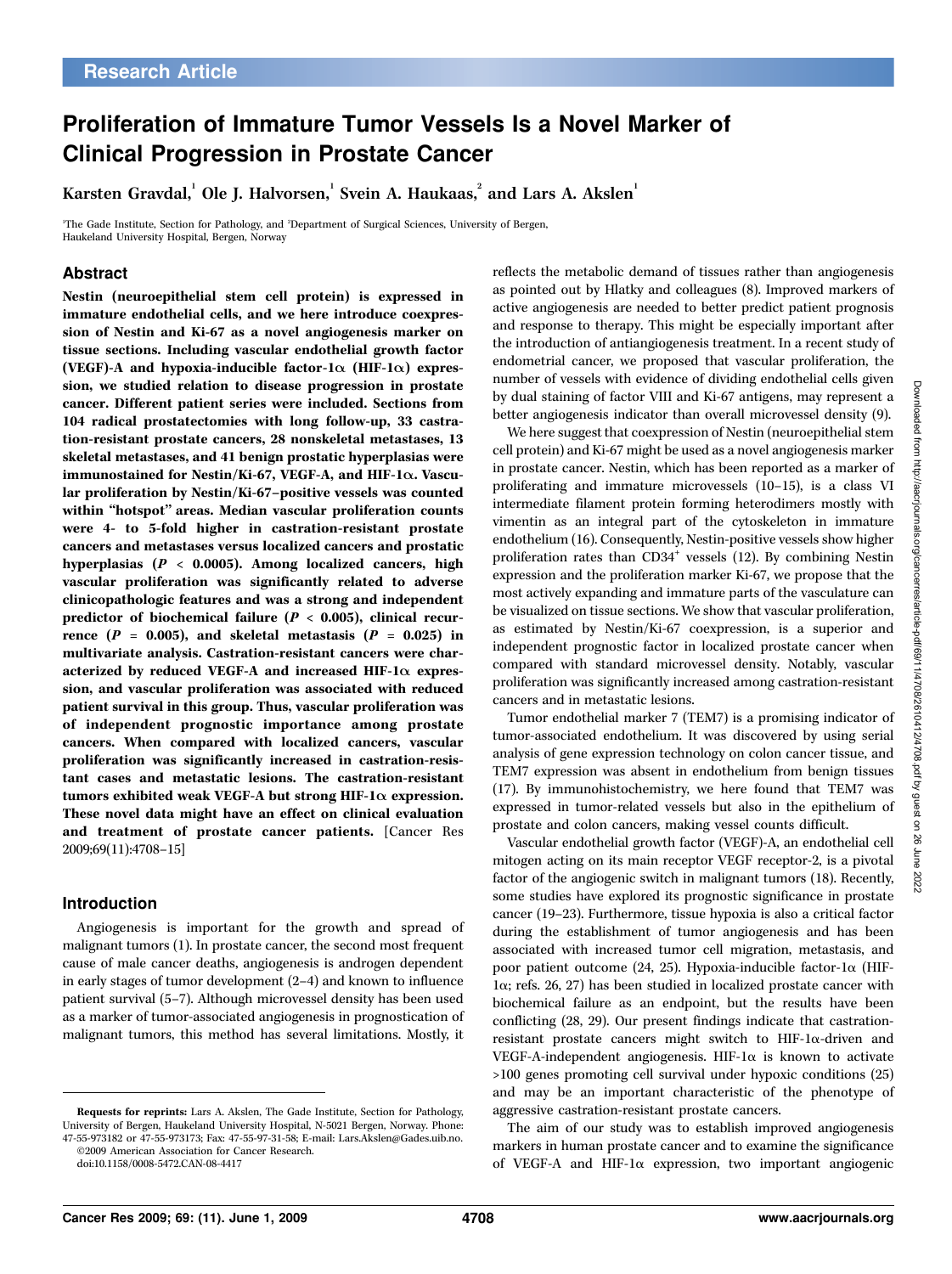# Proliferation of Immature Tumor Vessels Is a Novel Marker of Clinical Progression in Prostate Cancer

Karsten Gravdal, <sup>1</sup> Ole L. Halvorsen, <sup>1</sup> Svein A. Haukaas, 2 and Lars A. Akslen<sup>1</sup>

1 The Gade Institute, Section for Pathology, and <sup>2</sup> Department of Surgical Sciences, University of Bergen, Haukeland University Hospital, Bergen, Norway

# Abstract

Nestin (neuroepithelial stem cell protein) is expressed in immature endothelial cells, and we here introduce coexpression of Nestin and Ki-67 as a novel angiogenesis marker on tissue sections. Including vascular endothelial growth factor (VEGF)-A and hypoxia-inducible factor-1 $\alpha$  (HIF-1 $\alpha$ ) expression, we studied relation to disease progression in prostate cancer. Different patient series were included. Sections from 104 radical prostatectomies with long follow-up, 33 castration-resistant prostate cancers, 28 nonskeletal metastases, 13 skeletal metastases, and 41 benign prostatic hyperplasias were immunostained for Nestin/Ki-67, VEGF-A, and HIF-1 $\alpha$ . Vascular proliferation by Nestin/Ki-67–positive vessels was counted within ''hotspot'' areas. Median vascular proliferation counts were 4- to 5-fold higher in castration-resistant prostate cancers and metastases versus localized cancers and prostatic hyperplasias (P < 0.0005). Among localized cancers, high vascular proliferation was significantly related to adverse clinicopathologic features and was a strong and independent predictor of biochemical failure ( $P < 0.005$ ), clinical recurrence  $(P = 0.005)$ , and skeletal metastasis  $(P = 0.025)$  in multivariate analysis. Castration-resistant cancers were characterized by reduced VEGF-A and increased HIF-1 $\alpha$  expression, and vascular proliferation was associated with reduced patient survival in this group. Thus, vascular proliferation was of independent prognostic importance among prostate cancers. When compared with localized cancers, vascular proliferation was significantly increased in castration-resistant cases and metastatic lesions. The castration-resistant tumors exhibited weak VEGF-A but strong HIF-1 $\alpha$  expression. These novel data might have an effect on clinical evaluation and treatment of prostate cancer patients. [Cancer Res 2009;69(11):4708–15]

# Introduction

Angiogenesis is important for the growth and spread of malignant tumors (1). In prostate cancer, the second most frequent cause of male cancer deaths, angiogenesis is androgen dependent in early stages of tumor development (2–4) and known to influence patient survival (5–7). Although microvessel density has been used as a marker of tumor-associated angiogenesis in prognostication of malignant tumors, this method has several limitations. Mostly, it

©2009 American Association for Cancer Research. doi:10.1158/0008-5472.CAN-08-4417

reflects the metabolic demand of tissues rather than angiogenesis as pointed out by Hlatky and colleagues (8). Improved markers of active angiogenesis are needed to better predict patient prognosis and response to therapy. This might be especially important after the introduction of antiangiogenesis treatment. In a recent study of endometrial cancer, we proposed that vascular proliferation, the number of vessels with evidence of dividing endothelial cells given by dual staining of factor VIII and Ki-67 antigens, may represent a better angiogenesis indicator than overall microvessel density (9).

We here suggest that coexpression of Nestin (neuroepithelial stem cell protein) and Ki-67 might be used as a novel angiogenesis marker in prostate cancer. Nestin, which has been reported as a marker of proliferating and immature microvessels (10–15), is a class VI intermediate filament protein forming heterodimers mostly with vimentin as an integral part of the cytoskeleton in immature endothelium (16). Consequently, Nestin-positive vessels show higher proliferation rates than  $CD34^+$  vessels (12). By combining Nestin expression and the proliferation marker Ki-67, we propose that the most actively expanding and immature parts of the vasculature can be visualized on tissue sections. We show that vascular proliferation, as estimated by Nestin/Ki-67 coexpression, is a superior and independent prognostic factor in localized prostate cancer when compared with standard microvessel density. Notably, vascular proliferation was significantly increased among castration-resistant cancers and in metastatic lesions.

Tumor endothelial marker 7 (TEM7) is a promising indicator of tumor-associated endothelium. It was discovered by using serial analysis of gene expression technology on colon cancer tissue, and TEM7 expression was absent in endothelium from benign tissues (17). By immunohistochemistry, we here found that TEM7 was expressed in tumor-related vessels but also in the epithelium of prostate and colon cancers, making vessel counts difficult.

Vascular endothelial growth factor (VEGF)-A, an endothelial cell mitogen acting on its main receptor VEGF receptor-2, is a pivotal factor of the angiogenic switch in malignant tumors (18). Recently, some studies have explored its prognostic significance in prostate cancer (19–23). Furthermore, tissue hypoxia is also a critical factor during the establishment of tumor angiogenesis and has been associated with increased tumor cell migration, metastasis, and poor patient outcome (24, 25). Hypoxia-inducible factor-1a (HIF-1a; refs. 26, 27) has been studied in localized prostate cancer with biochemical failure as an endpoint, but the results have been conflicting (28, 29). Our present findings indicate that castrationresistant prostate cancers might switch to HIF-1 $\alpha$ -driven and VEGF-A-independent angiogenesis. HIF-1 $\alpha$  is known to activate >100 genes promoting cell survival under hypoxic conditions (25) and may be an important characteristic of the phenotype of aggressive castration-resistant prostate cancers.

The aim of our study was to establish improved angiogenesis markers in human prostate cancer and to examine the significance of VEGF-A and HIF-1a expression, two important angiogenic

Requests for reprints: Lars A. Akslen, The Gade Institute, Section for Pathology, University of Bergen, Haukeland University Hospital, N-5021 Bergen, Norway. Phone: 47-55-973182 or 47-55-973173; Fax: 47-55-97-31-58; E-mail: Lars.Akslen@Gades.uib.no.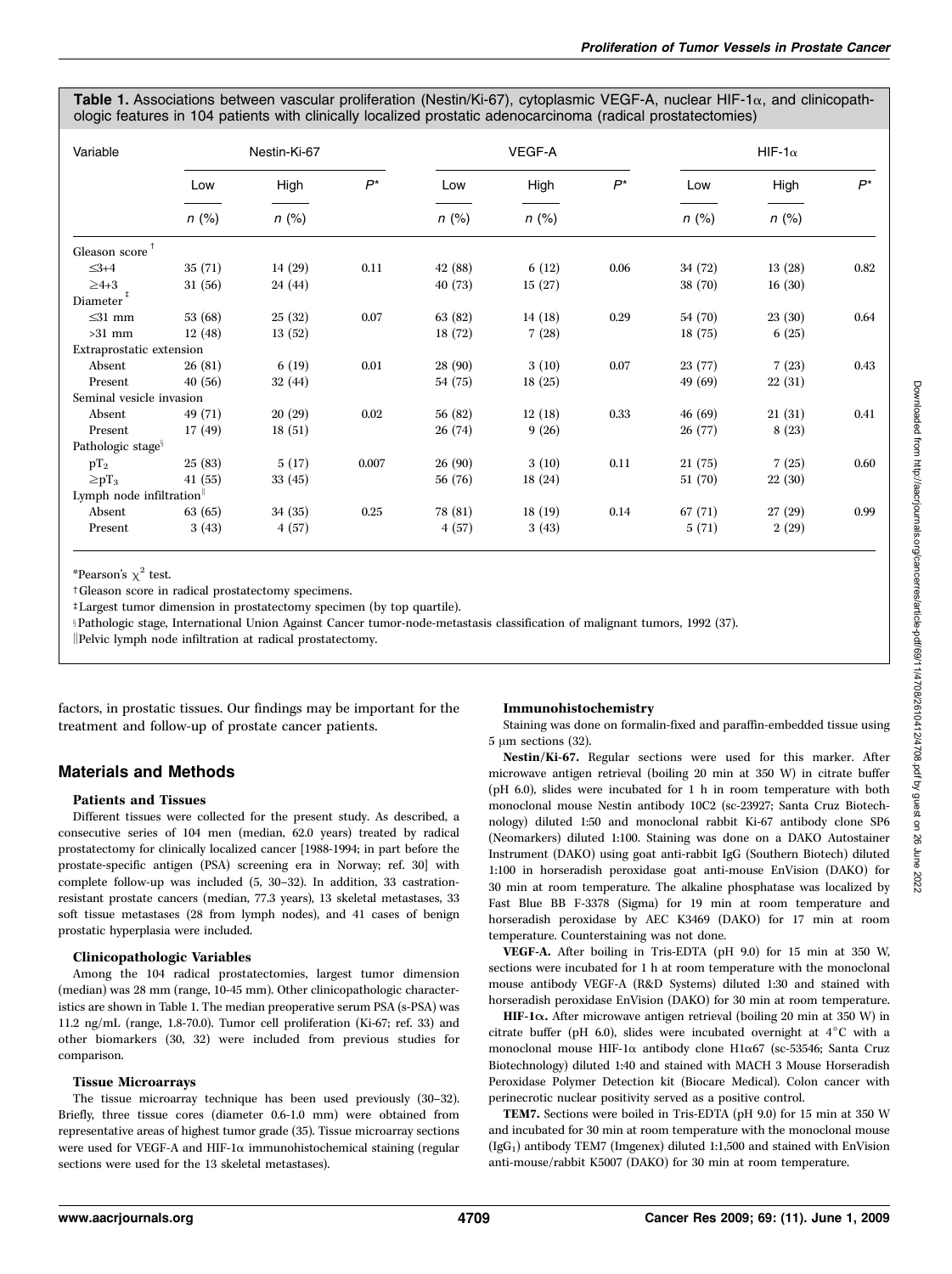Table 1. Associations between vascular proliferation (Nestin/Ki-67), cytoplasmic VEGF-A, nuclear HIF-1 $\alpha$ , and clinicopathologic features in 104 patients with clinically localized prostatic adenocarcinoma (radical prostatectomies)

| Variable                      | Nestin-Ki-67   |                 |       | VEGF-A         |                 |       | HIF-1 $\alpha$ |                 |       |
|-------------------------------|----------------|-----------------|-------|----------------|-----------------|-------|----------------|-----------------|-------|
|                               | Low<br>$n$ (%) | High<br>$n$ (%) | $P^*$ | Low<br>$n$ (%) | High<br>$n$ (%) | $P^*$ | Low<br>$n$ (%) | High<br>$n$ (%) | $P^*$ |
|                               |                |                 |       |                |                 |       |                |                 |       |
| $\leq 3+4$                    | 35(71)         | 14(29)          | 0.11  | 42 (88)        | 6(12)           | 0.06  | 34 (72)        | 13(28)          | 0.82  |
| $\geq 4+3$                    | 31(56)         | 24 (44)         |       | 40(73)         | 15(27)          |       | 38 (70)        | 16(30)          |       |
| $\mathrm{Diameter}^{\,\ddag}$ |                |                 |       |                |                 |       |                |                 |       |
| $\leq$ 31 mm                  | 53 (68)        | 25(32)          | 0.07  | 63 (82)        | 14(18)          | 0.29  | 54 (70)        | 23(30)          | 0.64  |
| $>31$ mm                      | 12(48)         | 13(52)          |       | 18(72)         | 7(28)           |       | 18(75)         | 6(25)           |       |
| Extraprostatic extension      |                |                 |       |                |                 |       |                |                 |       |
| Absent                        | 26(81)         | 6(19)           | 0.01  | 28 (90)        | 3(10)           | 0.07  | 23(77)         | 7(23)           | 0.43  |
| Present                       | 40(56)         | 32(44)          |       | 54 (75)        | 18(25)          |       | 49 (69)        | 22(31)          |       |
| Seminal vesicle invasion      |                |                 |       |                |                 |       |                |                 |       |
| Absent                        | 49 (71)        | 20(29)          | 0.02  | 56 (82)        | 12(18)          | 0.33  | 46(69)         | 21(31)          | 0.41  |
| Present                       | 17(49)         | 18(51)          |       | 26(74)         | 9(26)           |       | 26(77)         | 8(23)           |       |
| Pathologic stage <sup>§</sup> |                |                 |       |                |                 |       |                |                 |       |
| $pT_2$                        | 25(83)         | 5(17)           | 0.007 | 26(90)         | 3(10)           | 0.11  | 21(75)         | 7(25)           | 0.60  |
| $\geq pT_3$                   | 41(55)         | 33(45)          |       | 56 (76)        | 18(24)          |       | 51 (70)        | 22(30)          |       |
| Lymph node infiltration       |                |                 |       |                |                 |       |                |                 |       |
| Absent                        | 63 (65)        | 34(35)          | 0.25  | 78 (81)        | 18(19)          | 0.14  | 67(71)         | 27(29)          | 0.99  |
| Present                       | 3(43)          | 4(57)           |       | 4(57)          | 3(43)           |       | 5(71)          | 2(29)           |       |

\*Pearson's  $\chi^2$  test.

tGleason score in radical prostatectomy specimens.

<sup>‡</sup>Largest tumor dimension in prostatectomy specimen (by top quartile).

<sup>x</sup>Pathologic stage, International Union Against Cancer tumor-node-metastasis classification of malignant tumors, 1992 (37).

Pelvic lymph node infiltration at radical prostatectomy.

factors, in prostatic tissues. Our findings may be important for the treatment and follow-up of prostate cancer patients.

# Materials and Methods

#### Patients and Tissues

Different tissues were collected for the present study. As described, a consecutive series of 104 men (median, 62.0 years) treated by radical prostatectomy for clinically localized cancer [1988-1994; in part before the prostate-specific antigen (PSA) screening era in Norway; ref. 30] with complete follow-up was included (5, 30–32). In addition, 33 castrationresistant prostate cancers (median, 77.3 years), 13 skeletal metastases, 33 soft tissue metastases (28 from lymph nodes), and 41 cases of benign prostatic hyperplasia were included.

#### Clinicopathologic Variables

Among the 104 radical prostatectomies, largest tumor dimension (median) was 28 mm (range, 10-45 mm). Other clinicopathologic characteristics are shown in Table 1. The median preoperative serum PSA (s-PSA) was 11.2 ng/mL (range, 1.8-70.0). Tumor cell proliferation (Ki-67; ref. 33) and other biomarkers (30, 32) were included from previous studies for comparison.

#### Tissue Microarrays

The tissue microarray technique has been used previously (30–32). Briefly, three tissue cores (diameter 0.6-1.0 mm) were obtained from representative areas of highest tumor grade (35). Tissue microarray sections were used for VEGF-A and HIF-1a immunohistochemical staining (regular sections were used for the 13 skeletal metastases).

#### Immunohistochemistry

Staining was done on formalin-fixed and paraffin-embedded tissue using  $5 \mu m$  sections (32).

Nestin/Ki-67. Regular sections were used for this marker. After microwave antigen retrieval (boiling 20 min at 350 W) in citrate buffer (pH 6.0), slides were incubated for 1 h in room temperature with both monoclonal mouse Nestin antibody 10C2 (sc-23927; Santa Cruz Biotechnology) diluted 1:50 and monoclonal rabbit Ki-67 antibody clone SP6 (Neomarkers) diluted 1:100. Staining was done on a DAKO Autostainer Instrument (DAKO) using goat anti-rabbit IgG (Southern Biotech) diluted 1:100 in horseradish peroxidase goat anti-mouse EnVision (DAKO) for 30 min at room temperature. The alkaline phosphatase was localized by Fast Blue BB F-3378 (Sigma) for 19 min at room temperature and horseradish peroxidase by AEC K3469 (DAKO) for 17 min at room temperature. Counterstaining was not done.

VEGF-A. After boiling in Tris-EDTA (pH 9.0) for 15 min at 350 W, sections were incubated for 1 h at room temperature with the monoclonal mouse antibody VEGF-A (R&D Systems) diluted 1:30 and stained with horseradish peroxidase EnVision (DAKO) for 30 min at room temperature.

HIF-1 $\alpha$ . After microwave antigen retrieval (boiling 20 min at 350 W) in citrate buffer (pH 6.0), slides were incubated overnight at  $4^{\circ}$ C with a monoclonal mouse HIF-1a antibody clone H1a67 (sc-53546; Santa Cruz Biotechnology) diluted 1:40 and stained with MACH 3 Mouse Horseradish Peroxidase Polymer Detection kit (Biocare Medical). Colon cancer with perinecrotic nuclear positivity served as a positive control.

TEM7. Sections were boiled in Tris-EDTA (pH 9.0) for 15 min at 350 W and incubated for 30 min at room temperature with the monoclonal mouse  $(IGG<sub>1</sub>)$  antibody TEM7 (Imgenex) diluted 1:1,500 and stained with EnVision anti-mouse/rabbit K5007 (DAKO) for 30 min at room temperature.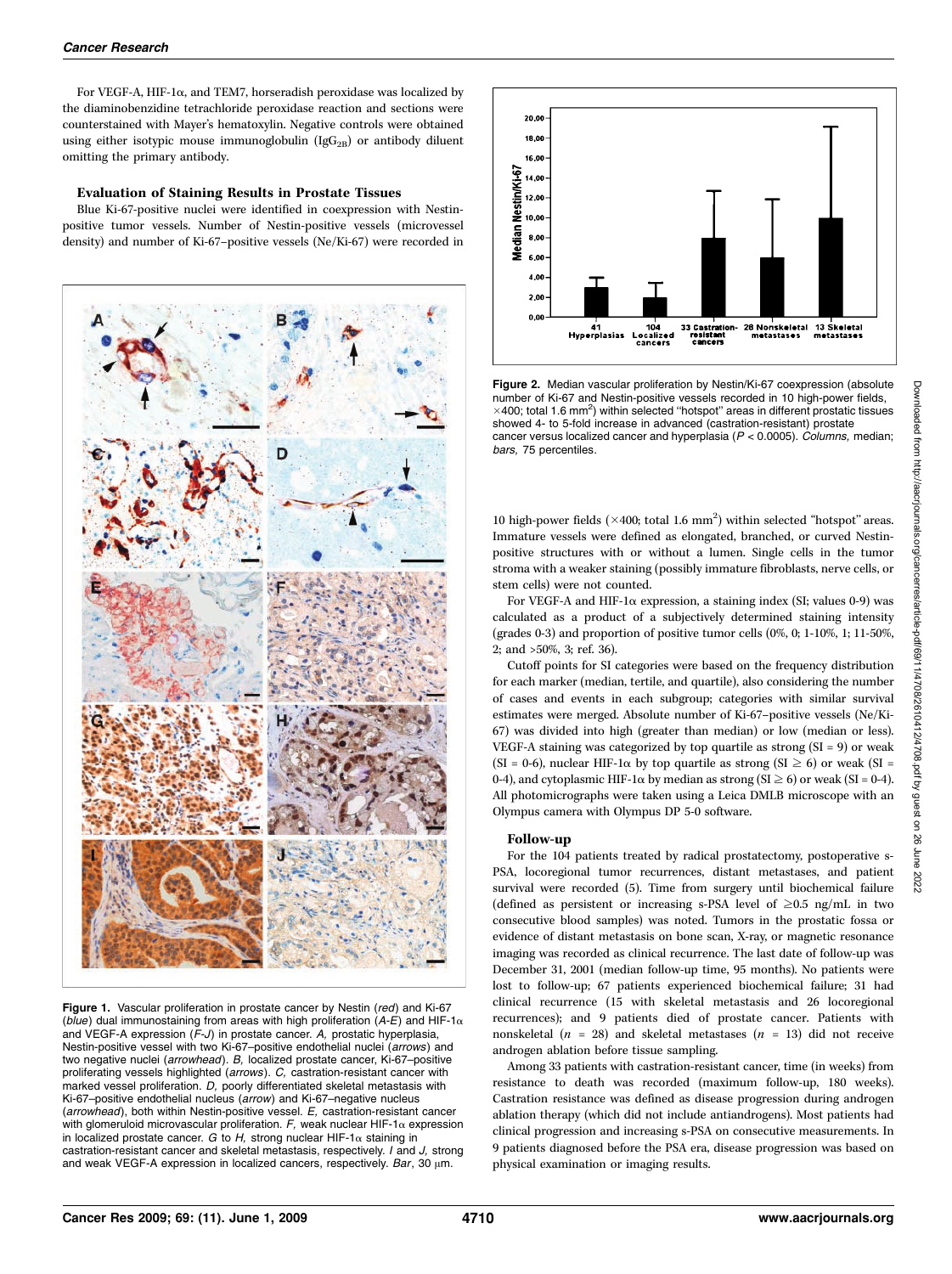For VEGF-A, HIF-1a, and TEM7, horseradish peroxidase was localized by the diaminobenzidine tetrachloride peroxidase reaction and sections were counterstained with Mayer's hematoxylin. Negative controls were obtained using either isotypic mouse immunoglobulin (Ig $G_{2B}$ ) or antibody diluent omitting the primary antibody.

#### Evaluation of Staining Results in Prostate Tissues

Blue Ki-67-positive nuclei were identified in coexpression with Nestinpositive tumor vessels. Number of Nestin-positive vessels (microvessel density) and number of Ki-67–positive vessels (Ne/Ki-67) were recorded in



Figure 1. Vascular proliferation in prostate cancer by Nestin (red) and Ki-67 (blue) dual immunostaining from areas with high proliferation (A-E) and HIF-1 $\alpha$ and VEGF-A expression (F-J) in prostate cancer. A, prostatic hyperplasia, Nestin-positive vessel with two Ki-67–positive endothelial nuclei (arrows) and two negative nuclei (arrowhead). B, localized prostate cancer, Ki-67–positive proliferating vessels highlighted (arrows). C, castration-resistant cancer with marked vessel proliferation. D, poorly differentiated skeletal metastasis with Ki-67–positive endothelial nucleus (arrow) and Ki-67–negative nucleus (arrowhead), both within Nestin-positive vessel. E, castration-resistant cancer with glomeruloid microvascular proliferation. F, weak nuclear HIF-1 $\alpha$  expression in localized prostate cancer. G to H, strong nuclear HIF-1 $\alpha$  staining in castration-resistant cancer and skeletal metastasis, respectively. I and J, strong and weak VEGF-A expression in localized cancers, respectively. Bar, 30  $\mu$ m.



Figure 2. Median vascular proliferation by Nestin/Ki-67 coexpression (absolute number of Ki-67 and Nestin-positive vessels recorded in 10 high-power fields,  $\times$ 400; total 1.6 mm<sup>2</sup>) within selected "hotspot" areas in different prostatic tissues showed 4- to 5-fold increase in advanced (castration-resistant) prostate cancer versus localized cancer and hyperplasia ( $P < 0.0005$ ). Columns, median; bars, 75 percentiles.

10 high-power fields ( $\times 400$ ; total 1.6 mm<sup>2</sup>) within selected "hotspot" areas. Immature vessels were defined as elongated, branched, or curved Nestinpositive structures with or without a lumen. Single cells in the tumor stroma with a weaker staining (possibly immature fibroblasts, nerve cells, or stem cells) were not counted.

For VEGF-A and HIF-1 $\alpha$  expression, a staining index (SI; values 0-9) was calculated as a product of a subjectively determined staining intensity (grades 0-3) and proportion of positive tumor cells (0%, 0; 1-10%, 1; 11-50%, 2; and >50%, 3; ref. 36).

Cutoff points for SI categories were based on the frequency distribution for each marker (median, tertile, and quartile), also considering the number of cases and events in each subgroup; categories with similar survival estimates were merged. Absolute number of Ki-67–positive vessels (Ne/Ki-67) was divided into high (greater than median) or low (median or less). VEGF-A staining was categorized by top quartile as strong  $(SI = 9)$  or weak (SI = 0-6), nuclear HIF-1 $\alpha$  by top quartile as strong (SI  $\geq$  6) or weak (SI = 0-4), and cytoplasmic HIF-1 $\alpha$  by median as strong (SI  $\geq$  6) or weak (SI = 0-4). All photomicrographs were taken using a Leica DMLB microscope with an Olympus camera with Olympus DP 5-0 software.

#### Follow-up

For the 104 patients treated by radical prostatectomy, postoperative s-PSA, locoregional tumor recurrences, distant metastases, and patient survival were recorded (5). Time from surgery until biochemical failure (defined as persistent or increasing s-PSA level of  $\geq 0.5$  ng/mL in two consecutive blood samples) was noted. Tumors in the prostatic fossa or evidence of distant metastasis on bone scan, X-ray, or magnetic resonance imaging was recorded as clinical recurrence. The last date of follow-up was December 31, 2001 (median follow-up time, 95 months). No patients were lost to follow-up; 67 patients experienced biochemical failure; 31 had clinical recurrence (15 with skeletal metastasis and 26 locoregional recurrences); and 9 patients died of prostate cancer. Patients with nonskeletal ( $n = 28$ ) and skeletal metastases ( $n = 13$ ) did not receive androgen ablation before tissue sampling.

Among 33 patients with castration-resistant cancer, time (in weeks) from resistance to death was recorded (maximum follow-up, 180 weeks). Castration resistance was defined as disease progression during androgen ablation therapy (which did not include antiandrogens). Most patients had clinical progression and increasing s-PSA on consecutive measurements. In 9 patients diagnosed before the PSA era, disease progression was based on physical examination or imaging results.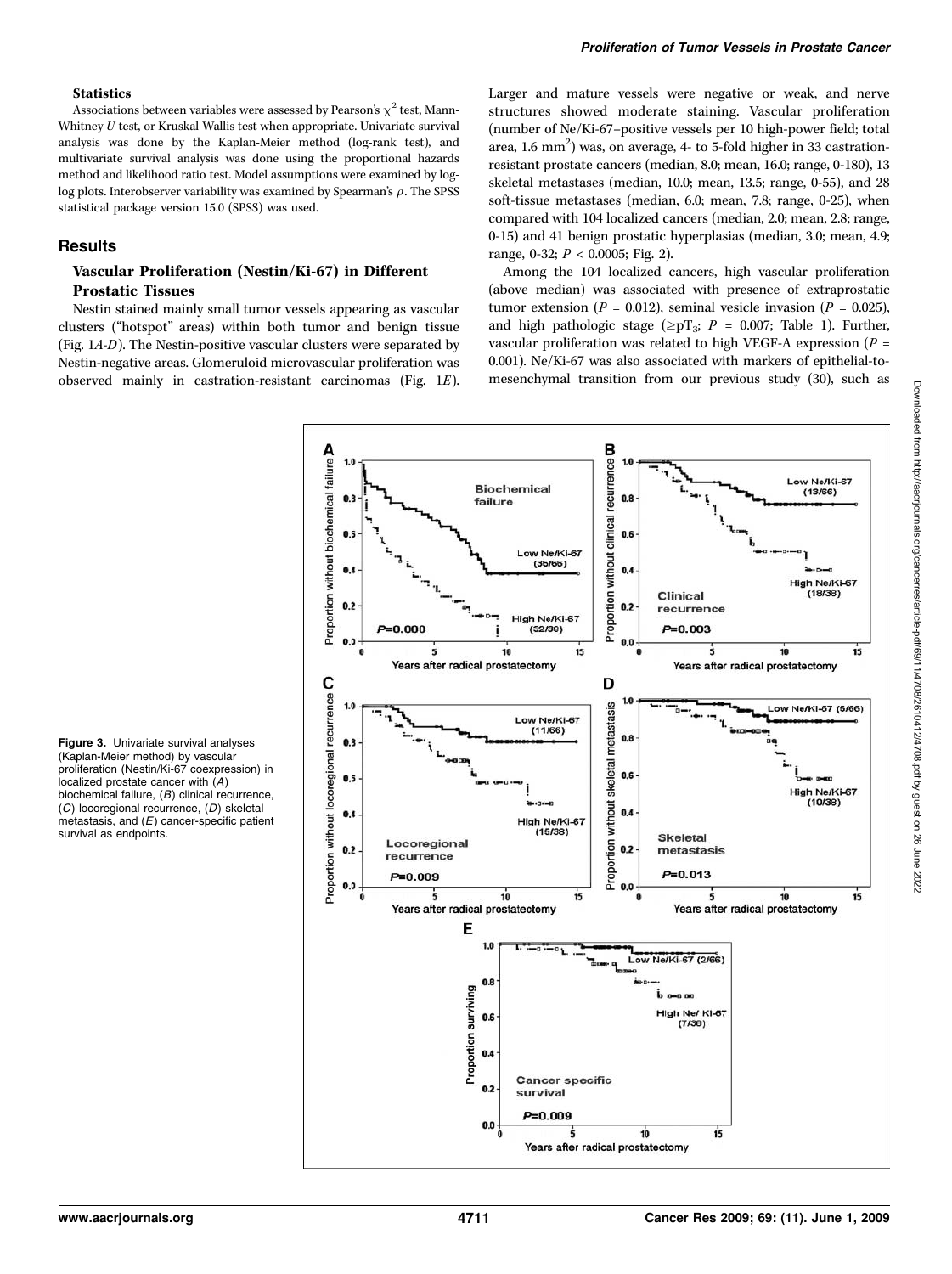#### **Statistics**

Associations between variables were assessed by Pearson's  $\chi^2$  test, Mann-Whitney  $U$  test, or Kruskal-Wallis test when appropriate. Univariate survival analysis was done by the Kaplan-Meier method (log-rank test), and multivariate survival analysis was done using the proportional hazards method and likelihood ratio test. Model assumptions were examined by loglog plots. Interobserver variability was examined by Spearman's  $\rho$ . The SPSS statistical package version 15.0 (SPSS) was used.

## **Results**

## Vascular Proliferation (Nestin/Ki-67) in Different Prostatic Tissues

Nestin stained mainly small tumor vessels appearing as vascular clusters (''hotspot'' areas) within both tumor and benign tissue (Fig. 1A-D). The Nestin-positive vascular clusters were separated by Nestin-negative areas. Glomeruloid microvascular proliferation was observed mainly in castration-resistant carcinomas (Fig. 1E). Larger and mature vessels were negative or weak, and nerve structures showed moderate staining. Vascular proliferation (number of Ne/Ki-67–positive vessels per 10 high-power field; total area, 1.6 mm<sup>2</sup>) was, on average, 4- to 5-fold higher in 33 castrationresistant prostate cancers (median, 8.0; mean, 16.0; range, 0-180), 13 skeletal metastases (median, 10.0; mean, 13.5; range, 0-55), and 28 soft-tissue metastases (median, 6.0; mean, 7.8; range, 0-25), when compared with 104 localized cancers (median, 2.0; mean, 2.8; range, 0-15) and 41 benign prostatic hyperplasias (median, 3.0; mean, 4.9; range, 0-32;  $P < 0.0005$ ; Fig. 2).

Among the 104 localized cancers, high vascular proliferation (above median) was associated with presence of extraprostatic tumor extension ( $P = 0.012$ ), seminal vesicle invasion ( $P = 0.025$ ), and high pathologic stage ( $\geq pT_3$ ;  $P = 0.007$ ; Table 1). Further, vascular proliferation was related to high VEGF-A expression ( $P =$ 0.001). Ne/Ki-67 was also associated with markers of epithelial-tomesenchymal transition from our previous study (30), such as



Figure 3. Univariate survival analyses (Kaplan-Meier method) by vascular proliferation (Nestin/Ki-67 coexpression) in localized prostate cancer with (A) biochemical failure, (B) clinical recurrence, (C) locoregional recurrence, (D) skeletal metastasis, and  $(E)$  cancer-specific patient survival as endpoints.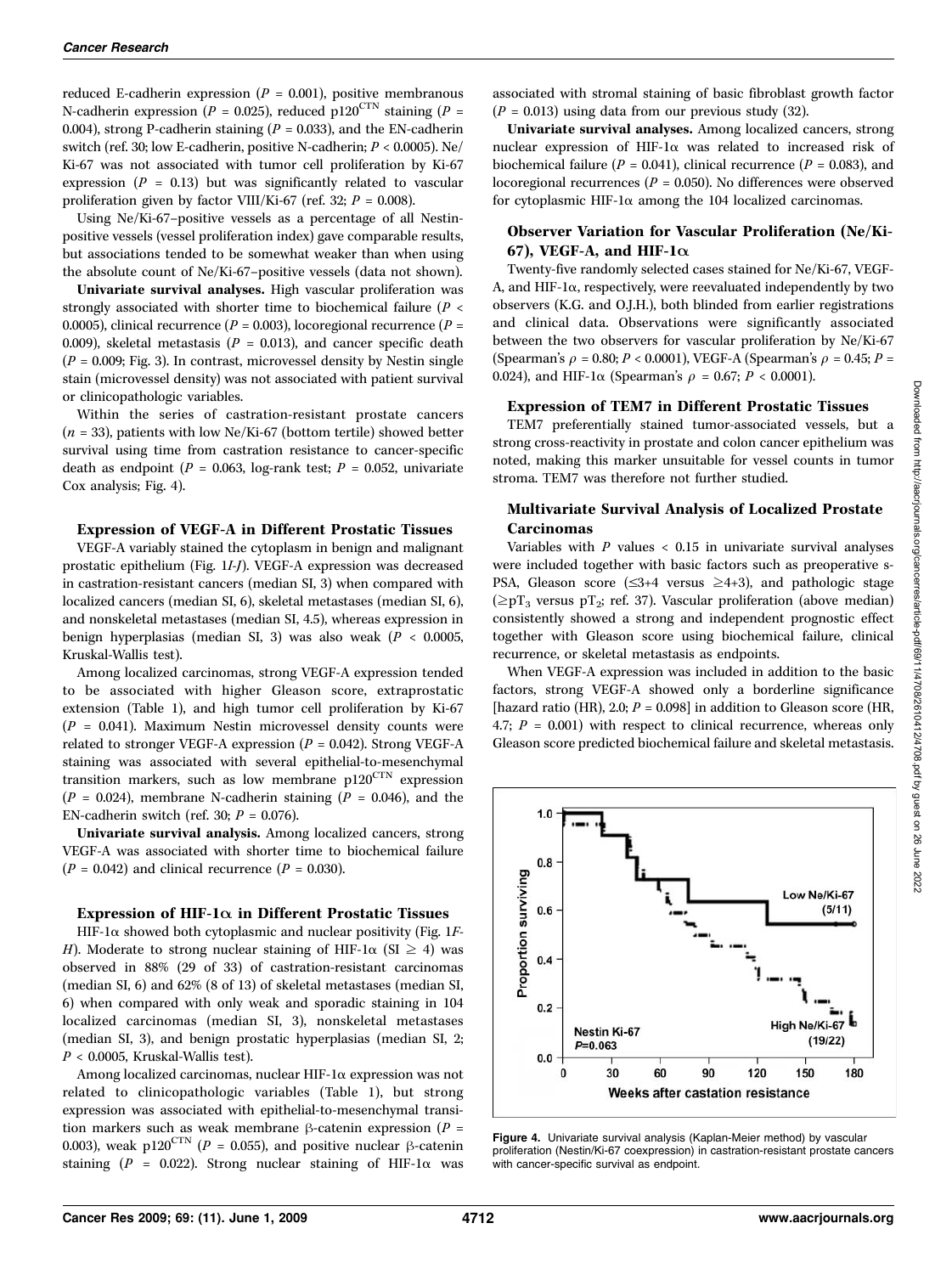reduced E-cadherin expression ( $P = 0.001$ ), positive membranous N-cadherin expression ( $P = 0.025$ ), reduced p120<sup>CTN</sup> staining ( $P =$ 0.004), strong P-cadherin staining ( $P = 0.033$ ), and the EN-cadherin switch (ref. 30; low E-cadherin, positive N-cadherin; P < 0.0005). Ne/ Ki-67 was not associated with tumor cell proliferation by Ki-67 expression ( $P = 0.13$ ) but was significantly related to vascular proliferation given by factor VIII/Ki-67 (ref. 32;  $P = 0.008$ ).

Using Ne/Ki-67–positive vessels as a percentage of all Nestinpositive vessels (vessel proliferation index) gave comparable results, but associations tended to be somewhat weaker than when using the absolute count of Ne/Ki-67–positive vessels (data not shown).

Univariate survival analyses. High vascular proliferation was strongly associated with shorter time to biochemical failure ( $P <$ 0.0005), clinical recurrence ( $P = 0.003$ ), locoregional recurrence ( $P =$ 0.009), skeletal metastasis ( $P = 0.013$ ), and cancer specific death  $(P = 0.009; Fig. 3)$ . In contrast, microvessel density by Nestin single stain (microvessel density) was not associated with patient survival or clinicopathologic variables.

Within the series of castration-resistant prostate cancers  $(n = 33)$ , patients with low Ne/Ki-67 (bottom tertile) showed better survival using time from castration resistance to cancer-specific death as endpoint ( $P = 0.063$ , log-rank test;  $P = 0.052$ , univariate Cox analysis; Fig. 4).

## Expression of VEGF-A in Different Prostatic Tissues

VEGF-A variably stained the cytoplasm in benign and malignant prostatic epithelium (Fig. 1I-J). VEGF-A expression was decreased in castration-resistant cancers (median SI, 3) when compared with localized cancers (median SI, 6), skeletal metastases (median SI, 6), and nonskeletal metastases (median SI, 4.5), whereas expression in benign hyperplasias (median SI, 3) was also weak ( $P < 0.0005$ , Kruskal-Wallis test).

Among localized carcinomas, strong VEGF-A expression tended to be associated with higher Gleason score, extraprostatic extension (Table 1), and high tumor cell proliferation by Ki-67  $(P = 0.041)$ . Maximum Nestin microvessel density counts were related to stronger VEGF-A expression ( $P = 0.042$ ). Strong VEGF-A staining was associated with several epithelial-to-mesenchymal transition markers, such as low membrane  $p120^{\text{CTN}}$  expression  $(P = 0.024)$ , membrane N-cadherin staining  $(P = 0.046)$ , and the EN-cadherin switch (ref. 30;  $P = 0.076$ ).

Univariate survival analysis. Among localized cancers, strong VEGF-A was associated with shorter time to biochemical failure  $(P = 0.042)$  and clinical recurrence  $(P = 0.030)$ .

## Expression of HIF-1 $\alpha$  in Different Prostatic Tissues

HIF-1 $\alpha$  showed both cytoplasmic and nuclear positivity (Fig. 1F-H). Moderate to strong nuclear staining of HIF-1 $\alpha$  (SI  $\geq$  4) was observed in 88% (29 of 33) of castration-resistant carcinomas (median SI, 6) and 62% (8 of 13) of skeletal metastases (median SI, 6) when compared with only weakand sporadic staining in 104 localized carcinomas (median SI, 3), nonskeletal metastases (median SI, 3), and benign prostatic hyperplasias (median SI, 2;  $P < 0.0005$ , Kruskal-Wallis test).

Among localized carcinomas, nuclear HIF-1a expression was not related to clinicopathologic variables (Table 1), but strong expression was associated with epithelial-to-mesenchymal transition markers such as weak membrane  $\beta$ -catenin expression (P = 0.003), weak p120<sup>CTN</sup> (P = 0.055), and positive nuclear  $\beta$ -catenin staining ( $P = 0.022$ ). Strong nuclear staining of HIF-1 $\alpha$  was

associated with stromal staining of basic fibroblast growth factor  $(P = 0.013)$  using data from our previous study (32).

Univariate survival analyses. Among localized cancers, strong nuclear expression of HIF-1 $\alpha$  was related to increased risk of biochemical failure ( $P = 0.041$ ), clinical recurrence ( $P = 0.083$ ), and locoregional recurrences ( $P = 0.050$ ). No differences were observed for cytoplasmic HIF-1 $\alpha$  among the 104 localized carcinomas.

## Observer Variation for Vascular Proliferation (Ne/Ki-67), VEGF-A, and HIF- $1\alpha$

Twenty-five randomly selected cases stained for Ne/Ki-67, VEGF-A, and HIF-1 $\alpha$ , respectively, were reevaluated independently by two observers (K.G. and O.J.H.), both blinded from earlier registrations and clinical data. Observations were significantly associated between the two observers for vascular proliferation by Ne/Ki-67 (Spearman's  $\rho = 0.80; P < 0.0001$ ), VEGF-A (Spearman's  $\rho = 0.45; P =$ 0.024), and HIF-1 $\alpha$  (Spearman's  $\rho = 0.67; P < 0.0001$ ).

## Expression of TEM7 in Different Prostatic Tissues

TEM7 preferentially stained tumor-associated vessels, but a strong cross-reactivity in prostate and colon cancer epithelium was noted, making this marker unsuitable for vessel counts in tumor stroma. TEM7 was therefore not further studied.

## Multivariate Survival Analysis of Localized Prostate **Carcinomas**

Variables with  $P$  values  $< 0.15$  in univariate survival analyses were included together with basic factors such as preoperative s-PSA, Gleason score ( $\leq$ 3+4 versus  $\geq$ 4+3), and pathologic stage  $(\geq pT_3$  versus pT<sub>2</sub>; ref. 37). Vascular proliferation (above median) consistently showed a strong and independent prognostic effect together with Gleason score using biochemical failure, clinical recurrence, or skeletal metastasis as endpoints.

When VEGF-A expression was included in addition to the basic factors, strong VEGF-A showed only a borderline significance [hazard ratio (HR), 2.0;  $P = 0.098$ ] in addition to Gleason score (HR, 4.7;  $P = 0.001$ ) with respect to clinical recurrence, whereas only Gleason score predicted biochemical failure and skeletal metastasis.



Figure 4. Univariate survival analysis (Kaplan-Meier method) by vascular proliferation (Nestin/Ki-67 coexpression) in castration-resistant prostate cancers with cancer-specific survival as endpoint.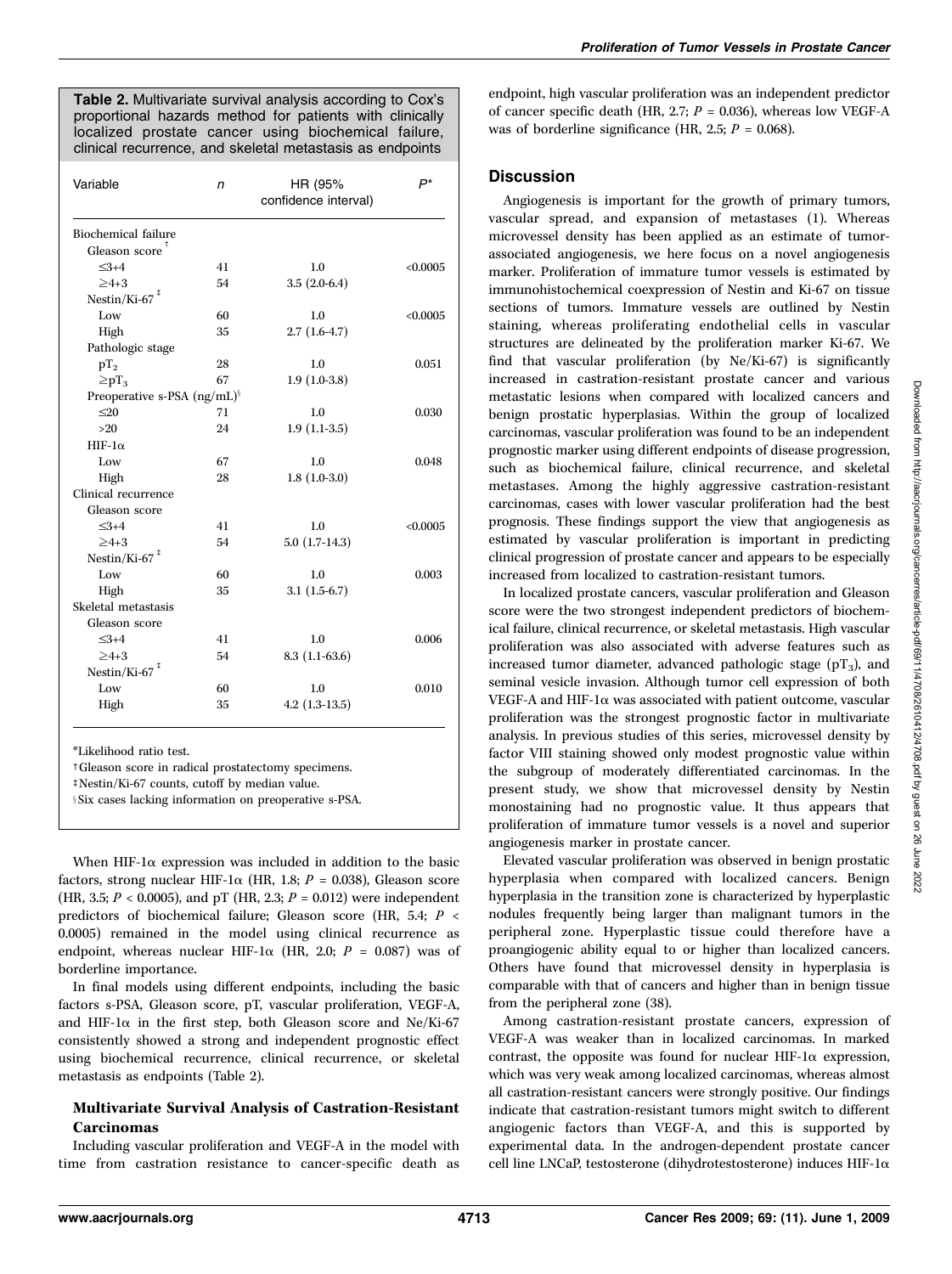Table 2. Multivariate survival analysis according to Cox's proportional hazards method for patients with clinically localized prostate cancer using biochemical failure, clinical recurrence, and skeletal metastasis as endpoints

| Variable                             | n  | HR (95%<br>confidence interval) | P*       |  |  |  |  |
|--------------------------------------|----|---------------------------------|----------|--|--|--|--|
| <b>Biochemical failure</b>           |    |                                 |          |  |  |  |  |
| Gleason score                        |    |                                 |          |  |  |  |  |
| $<3+4$                               | 41 | 1.0                             | < 0.0005 |  |  |  |  |
| $>4+3$                               | 54 | $3.5(2.0-6.4)$                  |          |  |  |  |  |
| Nestin/Ki-67 $†$                     |    |                                 |          |  |  |  |  |
| Low                                  | 60 | 1.0                             | < 0.0005 |  |  |  |  |
| High                                 | 35 | $2.7(1.6-4.7)$                  |          |  |  |  |  |
| Pathologic stage                     |    |                                 |          |  |  |  |  |
| $pT_2$                               | 28 | 1.0                             | 0.051    |  |  |  |  |
| $\geq pT_3$                          | 67 | $1.9(1.0-3.8)$                  |          |  |  |  |  |
| Preoperative s-PSA $(ng/mL)^{S}$     |    |                                 |          |  |  |  |  |
| $20$                                 | 71 | 1.0                             | 0.030    |  |  |  |  |
| $>20$                                | 24 | $1.9(1.1-3.5)$                  |          |  |  |  |  |
| $HIF-1\alpha$                        |    |                                 |          |  |  |  |  |
| Low                                  | 67 | 1.0                             | 0.048    |  |  |  |  |
| High                                 | 28 | $1.8(1.0-3.0)$                  |          |  |  |  |  |
| Clinical recurrence                  |    |                                 |          |  |  |  |  |
| Gleason score                        |    |                                 |          |  |  |  |  |
| $<3+4$                               | 41 | 1.0                             | < 0.0005 |  |  |  |  |
| $\geq 4+3$                           | 54 | $5.0(1.7-14.3)$                 |          |  |  |  |  |
| Nestin/Ki-67 $†$                     |    |                                 |          |  |  |  |  |
| Low                                  | 60 | 1.0                             | 0.003    |  |  |  |  |
| High                                 | 35 | $3.1(1.5-6.7)$                  |          |  |  |  |  |
| Skeletal metastasis                  |    |                                 |          |  |  |  |  |
| Gleason score                        |    |                                 |          |  |  |  |  |
| $\leq 3+4$                           | 41 | 1.0                             | 0.006    |  |  |  |  |
| $>4+3$                               | 54 | $8.3(1.1-63.6)$                 |          |  |  |  |  |
| Nestin/Ki-67 <sup><sup>‡</sup></sup> |    |                                 |          |  |  |  |  |
| Low                                  | 60 | 1.0                             | 0.010    |  |  |  |  |
| High                                 | 35 | $4.2$ $(1.3-13.5)$              |          |  |  |  |  |
|                                      |    |                                 |          |  |  |  |  |

\*Likelihood ratio test.

tGleason score in radical prostatectomy specimens.

 $\frac{1}{2}$ Nestin/Ki-67 counts, cutoff by median value.

**Six cases lacking information on preoperative s-PSA.** 

When HIF-1 $\alpha$  expression was included in addition to the basic factors, strong nuclear HIF-1 $\alpha$  (HR, 1.8; P = 0.038), Gleason score (HR, 3.5;  $P < 0.0005$  ), and pT (HR, 2.3;  $P = 0.012$  ) were independent predictors of biochemical failure; Gleason score (HR, 5.4; P < 0.0005) remained in the model using clinical recurrence as endpoint, whereas nuclear HIF-1 $\alpha$  (HR, 2.0;  $P = 0.087$ ) was of borderline importance.

In final models using different endpoints, including the basic factors s-PSA, Gleason score, pT, vascular proliferation, VEGF-A, and HIF-1 $\alpha$  in the first step, both Gleason score and Ne/Ki-67 consistently showed a strong and independent prognostic effect using biochemical recurrence, clinical recurrence, or skeletal metastasis as endpoints (Table 2).

## Multivariate Survival Analysis of Castration-Resistant Carcinomas

Including vascular proliferation and VEGF-A in the model with time from castration resistance to cancer-specific death as endpoint, high vascular proliferation was an independent predictor of cancer specific death (HR, 2.7;  $P = 0.036$ ), whereas low VEGF-A was of borderline significance (HR, 2.5;  $P = 0.068$ ).

## **Discussion**

Angiogenesis is important for the growth of primary tumors, vascular spread, and expansion of metastases (1). Whereas microvessel density has been applied as an estimate of tumorassociated angiogenesis, we here focus on a novel angiogenesis marker. Proliferation of immature tumor vessels is estimated by immunohistochemical coexpression of Nestin and Ki-67 on tissue sections of tumors. Immature vessels are outlined by Nestin staining, whereas proliferating endothelial cells in vascular structures are delineated by the proliferation marker Ki-67. We find that vascular proliferation (by Ne/Ki-67) is significantly increased in castration-resistant prostate cancer and various metastatic lesions when compared with localized cancers and benign prostatic hyperplasias. Within the group of localized carcinomas, vascular proliferation was found to be an independent prognostic marker using different endpoints of disease progression, such as biochemical failure, clinical recurrence, and skeletal metastases. Among the highly aggressive castration-resistant carcinomas, cases with lower vascular proliferation had the best prognosis. These findings support the view that angiogenesis as estimated by vascular proliferation is important in predicting clinical progression of prostate cancer and appears to be especially increased from localized to castration-resistant tumors.

In localized prostate cancers, vascular proliferation and Gleason score were the two strongest independent predictors of biochemical failure, clinical recurrence, or skeletal metastasis. High vascular proliferation was also associated with adverse features such as increased tumor diameter, advanced pathologic stage  $(pT_3)$ , and seminal vesicle invasion. Although tumor cell expression of both VEGF-A and HIF-1 $\alpha$  was associated with patient outcome, vascular proliferation was the strongest prognostic factor in multivariate analysis. In previous studies of this series, microvessel density by factor VIII staining showed only modest prognostic value within the subgroup of moderately differentiated carcinomas. In the present study, we show that microvessel density by Nestin monostaining had no prognostic value. It thus appears that proliferation of immature tumor vessels is a novel and superior angiogenesis marker in prostate cancer.

Elevated vascular proliferation was observed in benign prostatic hyperplasia when compared with localized cancers. Benign hyperplasia in the transition zone is characterized by hyperplastic nodules frequently being larger than malignant tumors in the peripheral zone. Hyperplastic tissue could therefore have a proangiogenic ability equal to or higher than localized cancers. Others have found that microvessel density in hyperplasia is comparable with that of cancers and higher than in benign tissue from the peripheral zone (38).

Among castration-resistant prostate cancers, expression of VEGF-A was weaker than in localized carcinomas. In marked contrast, the opposite was found for nuclear HIF-1 $\alpha$  expression, which was very weak among localized carcinomas, whereas almost all castration-resistant cancers were strongly positive. Our findings indicate that castration-resistant tumors might switch to different angiogenic factors than VEGF-A, and this is supported by experimental data. In the androgen-dependent prostate cancer cell line LNCaP, testosterone (dihydrotestosterone) induces HIF-1 $\alpha$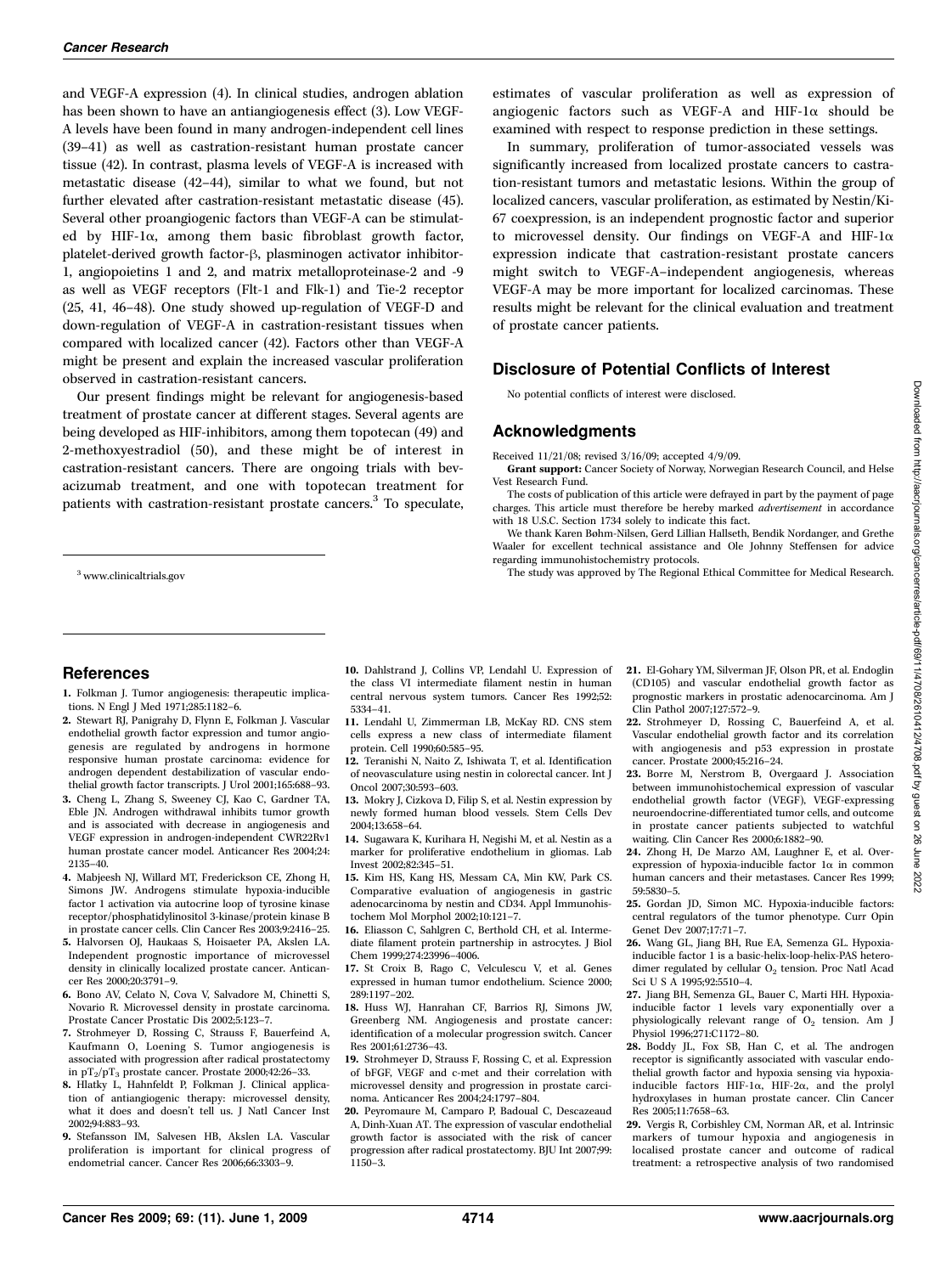and VEGF-A expression (4). In clinical studies, androgen ablation has been shown to have an antiangiogenesis effect (3). Low VEGF-A levels have been found in many androgen-independent cell lines (39–41) as well as castration-resistant human prostate cancer tissue (42). In contrast, plasma levels of VEGF-A is increased with metastatic disease (42–44), similar to what we found, but not further elevated after castration-resistant metastatic disease (45). Several other proangiogenic factors than VEGF-A can be stimulated by HIF-1a, among them basic fibroblast growth factor, platelet-derived growth factor- $\beta$ , plasminogen activator inhibitor-1, angiopoietins 1 and 2, and matrix metalloproteinase-2 and -9 as well as VEGF receptors (Flt-1 and Flk-1) and Tie-2 receptor (25, 41, 46–48). One study showed up-regulation of VEGF-D and down-regulation of VEGF-A in castration-resistant tissues when compared with localized cancer (42). Factors other than VEGF-A might be present and explain the increased vascular proliferation observed in castration-resistant cancers.

Our present findings might be relevant for angiogenesis-based treatment of prostate cancer at different stages. Several agents are being developed as HIF-inhibitors, among them topotecan (49) and 2-methoxyestradiol (50), and these might be of interest in castration-resistant cancers. There are ongoing trials with bevacizumab treatment, and one with topotecan treatment for patients with castration-resistant prostate cancers.<sup>3</sup> To speculate,

estimates of vascular proliferation as well as expression of angiogenic factors such as VEGF-A and HIF-1 $\alpha$  should be examined with respect to response prediction in these settings.

In summary, proliferation of tumor-associated vessels was significantly increased from localized prostate cancers to castration-resistant tumors and metastatic lesions. Within the group of localized cancers, vascular proliferation, as estimated by Nestin/Ki-67 coexpression, is an independent prognostic factor and superior to microvessel density. Our findings on VEGF-A and HIF-1 $\alpha$ expression indicate that castration-resistant prostate cancers might switch to VEGF-A–independent angiogenesis, whereas VEGF-A may be more important for localized carcinomas. These results might be relevant for the clinical evaluation and treatment of prostate cancer patients.

# Disclosure of Potential Conflicts of Interest

No potential conflicts of interest were disclosed.

# Acknowledgments

Received 11/21/08; revised 3/16/09; accepted 4/9/09.

Grant support: Cancer Society of Norway, Norwegian Research Council, and Helse Vest Research Fund.

The costs of publication of this article were defrayed in part by the payment of page charges. This article must therefore be hereby marked advertisement in accordance with 18 U.S.C. Section 1734 solely to indicate this fact.

We thank Karen Bøhm-Nilsen, Gerd Lillian Hallseth, Bendik Nordanger, and Grethe Waaler for excellent technical assistance and Ole Johnny Steffensen for advice regarding immunohistochemistry protocols.

<sup>3</sup> www.clinicaltrials.gov The study was approved by The Regional Ethical Committee for Medical Research.

# References

1. Folkman J. Tumor angiogenesis: therapeutic implications. N Engl J Med 1971;285:1182–6.

- 2. Stewart RJ, Panigrahy D, Flynn E, Folkman J. Vascular endothelial growth factor expression and tumor angiogenesis are regulated by androgens in hormone responsive human prostate carcinoma: evidence for androgen dependent destabilization of vascular endothelial growth factor transcripts. J Urol 2001;165:688–93.
- 3. Cheng L, Zhang S, Sweeney CJ, Kao C, Gardner TA, Eble JN. Androgen withdrawal inhibits tumor growth and is associated with decrease in angiogenesis and VEGF expression in androgen-independent CWR22Rv1 human prostate cancer model. Anticancer Res 2004;24: 2135–40.
- 4. Mabjeesh NJ, Willard MT, Frederickson CE, Zhong H, Simons JW. Androgens stimulate hypoxia-inducible factor 1 activation via autocrine loop of tyrosine kinase receptor/phosphatidylinositol 3-kinase/protein kinase B in prostate cancer cells. Clin Cancer Res 2003;9:2416–25.
- 5. Halvorsen OJ, Haukaas S, Hoisaeter PA, Akslen LA. Independent prognostic importance of microvessel density in clinically localized prostate cancer. Anticancer Res 2000;20:3791–9.
- 6. Bono AV, Celato N, Cova V, Salvadore M, Chinetti S, Novario R. Microvessel density in prostate carcinoma. Prostate Cancer Prostatic Dis 2002;5:123–7.
- 7. Strohmeyer D, Rossing C, Strauss F, Bauerfeind A, Kaufmann O, Loening S. Tumor angiogenesis is associated with progression after radical prostatectomy in  $\rm{pT_2/pT_3}$  prostate cancer. Prostate 2000;42:26–33.
- 8. Hlatky L, Hahnfeldt P, Folkman J. Clinical application of antiangiogenic therapy: microvessel density, what it does and doesn't tell us. J Natl Cancer Inst 2002;94:883–93.
- 9. Stefansson IM, Salvesen HB, Akslen LA. Vascular proliferation is important for clinical progress of endometrial cancer. Cancer Res 2006;66:3303–9.
- 10. Dahlstrand J, Collins VP, Lendahl U. Expression of the class VI intermediate filament nestin in human central nervous system tumors. Cancer Res 1992;52: 5334–41.
- 11. Lendahl U, Zimmerman LB, McKay RD. CNS stem cells express a new class of intermediate filament protein. Cell 1990;60:585–95.
- 12. Teranishi N, Naito Z, Ishiwata T, et al. Identification of neovasculature using nestin in colorectal cancer. Int J Oncol 2007;30:593–603.
- 13. Mokry J, Cizkova D, Filip S, et al. Nestin expression by newly formed human blood vessels. Stem Cells Dev 2004;13:658–64.

14. Sugawara K, Kurihara H, Negishi M, et al. Nestin as a marker for proliferative endothelium in gliomas. Lab Invest 2002;82:345–51.

15. Kim HS, Kang HS, Messam CA, Min KW, Park CS. Comparative evaluation of angiogenesis in gastric adenocarcinoma by nestin and CD34. Appl Immunohistochem Mol Morphol 2002;10:121–7.

16. Eliasson C, Sahlgren C, Berthold CH, et al. Intermediate filament protein partnership in astrocytes. J Biol Chem 1999;274:23996–4006.

17. St Croix B, Rago C, Velculescu V, et al. Genes expressed in human tumor endothelium. Science 2000; 289:1197–202.

18. Huss WJ, Hanrahan CF, Barrios RJ, Simons JW, Greenberg NM. Angiogenesis and prostate cancer: identification of a molecular progression switch. Cancer Res 2001;61:2736–43.

19. Strohmeyer D, Strauss F, Rossing C, et al. Expression of bFGF, VEGF and c-met and their correlation with microvessel density and progression in prostate carcinoma. Anticancer Res 2004;24:1797–804.

20. Peyromaure M, Camparo P, Badoual C, Descazeaud A, Dinh-Xuan AT. The expression of vascular endothelial growth factor is associated with the risk of cancer progression after radical prostatectomy. BJU Int 2007;99: 1150–3.

- 21. El-Gohary YM, Silverman JF, Olson PR, et al. Endoglin (CD105) and vascular endothelial growth factor as prognostic markers in prostatic adenocarcinoma. Am J Clin Pathol 2007;127:572–9. 22. Strohmeyer D, Rossing C, Bauerfeind A, et al. Vascular endothelial growth factor and its correlation with angiogenesis and p53 expression in prostate
- cancer. Prostate 2000;45:216–24. 23. Borre M, Nerstrom B, Overgaard J. Association between immunohistochemical expression of vascular endothelial growth factor (VEGF), VEGF-expressing neuroendocrine-differentiated tumor cells, and outcome in prostate cancer patients subjected to watchful waiting. Clin Cancer Res 2000;6:1882–90.
- 24. Zhong H, De Marzo AM, Laughner E, et al. Overexpression of hypoxia-inducible factor  $1\alpha$  in common human cancers and their metastases. Cancer Res 1999; 59:5830–5.
- 25. Gordan JD, Simon MC. Hypoxia-inducible factors: central regulators of the tumor phenotype. Curr Opin Genet Dev 2007;17:71–7.
- 26. Wang GL, Jiang BH, Rue EA, Semenza GL. Hypoxiainducible factor 1 is a basic-helix-loop-helix-PAS heterodimer regulated by cellular  $O<sub>2</sub>$  tension. Proc Natl Acad Sci U S A 1995;92:5510–4.
- 27. Jiang BH, Semenza GL, Bauer C, Marti HH. Hypoxiainducible factor 1 levels vary exponentially over a physiologically relevant range of O<sub>2</sub> tension. Am J Physiol 1996;271:C1172–80.
- 28. Boddy JL, Fox SB, Han C, et al. The androgen receptor is significantly associated with vascular endothelial growth factor and hypoxia sensing via hypoxiainducible factors HIF-1 $\alpha$ , HIF-2 $\alpha$ , and the prolyl hydroxylases in human prostate cancer. Clin Cancer Res 2005;11:7658–63.
- 29. Vergis R, Corbishley CM, Norman AR, et al. Intrinsic markers of tumour hypoxia and angiogenesis in localised prostate cancer and outcome of radical treatment: a retrospective analysis of two randomised